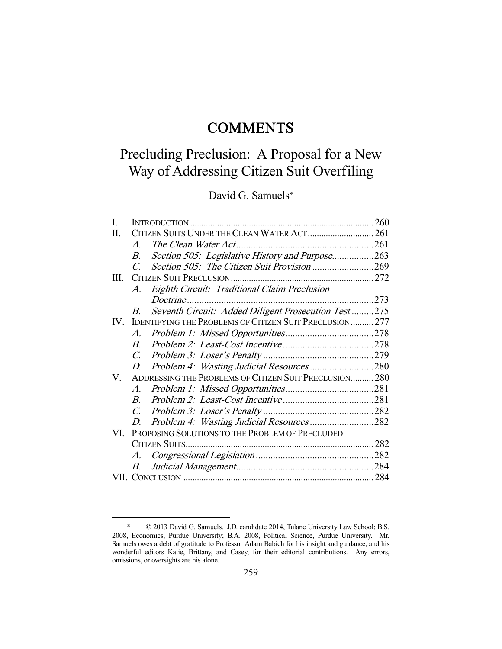# **COMMENTS**

# Precluding Preclusion: A Proposal for a New Way of Addressing Citizen Suit Overfiling

David G. Samuels\*

| I.                      |                                                        |                                                                | 260 |
|-------------------------|--------------------------------------------------------|----------------------------------------------------------------|-----|
| Π.                      |                                                        |                                                                |     |
|                         | $\mathcal{A}_{\cdot}$                                  |                                                                |     |
|                         | $B_{\cdot}$                                            | Section 505: Legislative History and Purpose263                |     |
|                         | $\mathcal{C}$                                          |                                                                |     |
| HI.                     |                                                        |                                                                |     |
|                         | $A_{\cdot}$                                            | <b>Eighth Circuit: Traditional Claim Preclusion</b>            |     |
|                         |                                                        |                                                                | 273 |
|                         | $B_{\cdot}$                                            | Seventh Circuit: Added Diligent Prosecution Test275            |     |
| $\mathbf{I} \mathbf{V}$ |                                                        | <b>IDENTIFYING THE PROBLEMS OF CITIZEN SUIT PRECLUSION 277</b> |     |
|                         | A.                                                     |                                                                |     |
|                         | $B_{-}$                                                |                                                                |     |
|                         | $C_{\cdot}$                                            |                                                                |     |
|                         | D.                                                     | Problem 4: Wasting Judicial Resources 280                      |     |
| V.                      | ADDRESSING THE PROBLEMS OF CITIZEN SUIT PRECLUSION 280 |                                                                |     |
|                         | $A_{\cdot}$                                            |                                                                |     |
|                         | $\overline{B}$                                         |                                                                |     |
|                         | $C_{\cdot}$                                            |                                                                |     |
|                         | D.                                                     | Problem 4: Wasting Judicial Resources282                       |     |
| VI.                     | PROPOSING SOLUTIONS TO THE PROBLEM OF PRECLUDED        |                                                                |     |
|                         |                                                        |                                                                |     |
|                         | $A_{\cdot}$                                            |                                                                |     |
|                         | B.                                                     |                                                                |     |
|                         |                                                        |                                                                |     |

 <sup>\* © 2013</sup> David G. Samuels. J.D. candidate 2014, Tulane University Law School; B.S. 2008, Economics, Purdue University; B.A. 2008, Political Science, Purdue University. Mr. Samuels owes a debt of gratitude to Professor Adam Babich for his insight and guidance, and his wonderful editors Katie, Brittany, and Casey, for their editorial contributions. Any errors, omissions, or oversights are his alone.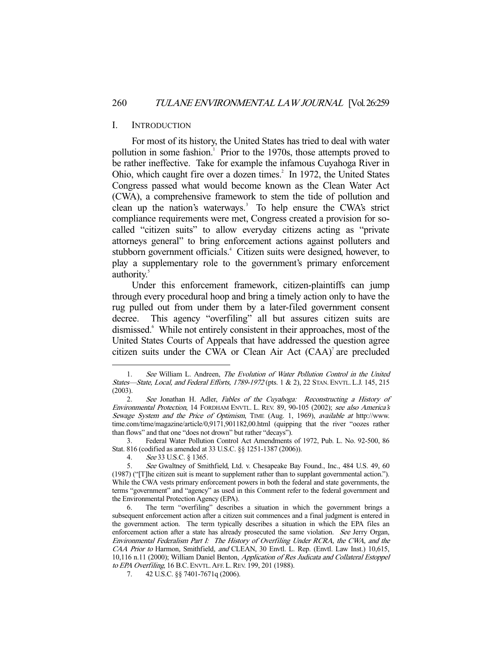#### I. INTRODUCTION

 For most of its history, the United States has tried to deal with water pollution in some fashion.<sup>1</sup> Prior to the 1970s, those attempts proved to be rather ineffective. Take for example the infamous Cuyahoga River in Ohio, which caught fire over a dozen times. $2 \text{ In } 1972$ , the United States Congress passed what would become known as the Clean Water Act (CWA), a comprehensive framework to stem the tide of pollution and clean up the nation's waterways.<sup>3</sup> To help ensure the CWA's strict compliance requirements were met, Congress created a provision for socalled "citizen suits" to allow everyday citizens acting as "private attorneys general" to bring enforcement actions against polluters and stubborn government officials.<sup>4</sup> Citizen suits were designed, however, to play a supplementary role to the government's primary enforcement authority.<sup>5</sup>

 Under this enforcement framework, citizen-plaintiffs can jump through every procedural hoop and bring a timely action only to have the rug pulled out from under them by a later-filed government consent decree. This agency "overfiling" all but assures citizen suits are dismissed.<sup>6</sup> While not entirely consistent in their approaches, most of the United States Courts of Appeals that have addressed the question agree citizen suits under the CWA or Clean Air Act  $(CAA)^7$  are precluded

 3. Federal Water Pollution Control Act Amendments of 1972, Pub. L. No. 92-500, 86 Stat. 816 (codified as amended at 33 U.S.C. §§ 1251-1387 (2006)).

 <sup>1.</sup> See William L. Andreen, The Evolution of Water Pollution Control in the United States—State, Local, and Federal Efforts, 1789-1972 (pts. 1 & 2), 22 STAN. ENVTL.L.J. 145, 215 (2003).

 <sup>2.</sup> See Jonathan H. Adler, Fables of the Cuyahoga: Reconstructing a History of Environmental Protection, 14 FORDHAM ENVTL. L. REV. 89, 90-105 (2002); see also America's Sewage System and the Price of Optimism, TIME (Aug. 1, 1969), available at http://www. time.com/time/magazine/article/0,9171,901182,00.html (quipping that the river "oozes rather than flows" and that one "does not drown" but rather "decays").

 <sup>4.</sup> See 33 U.S.C. § 1365.

 <sup>5.</sup> See Gwaltney of Smithfield, Ltd. v. Chesapeake Bay Found., Inc., 484 U.S. 49, 60 (1987) ("[T]he citizen suit is meant to supplement rather than to supplant governmental action."). While the CWA vests primary enforcement powers in both the federal and state governments, the terms "government" and "agency" as used in this Comment refer to the federal government and the Environmental Protection Agency (EPA).

 <sup>6.</sup> The term "overfiling" describes a situation in which the government brings a subsequent enforcement action after a citizen suit commences and a final judgment is entered in the government action. The term typically describes a situation in which the EPA files an enforcement action after a state has already prosecuted the same violation. See Jerry Organ, Environmental Federalism Part I: The History of Overfiling Under RCRA, the CWA, and the CAA Prior to Harmon, Smithfield, and CLEAN, 30 Envtl. L. Rep. (Envtl. Law Inst.) 10,615, 10,116 n.11 (2000); William Daniel Benton, Application of Res Judicata and Collateral Estoppel to EPA Overfiling, 16 B.C. ENVTL.AFF.L.REV. 199, 201 (1988).

 <sup>7. 42</sup> U.S.C. §§ 7401-7671q (2006).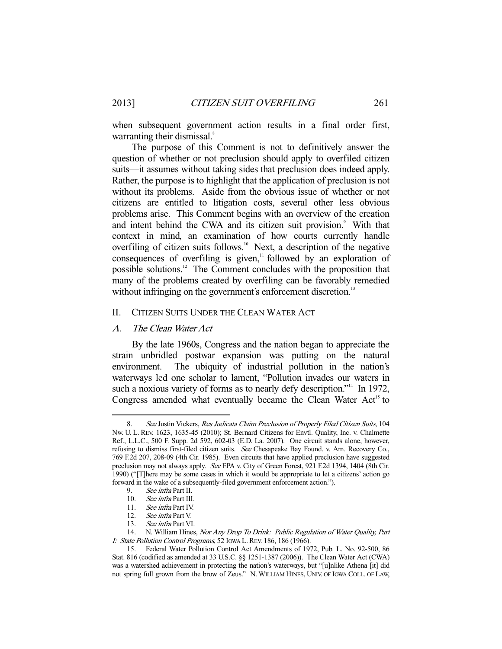when subsequent government action results in a final order first, warranting their dismissal.<sup>8</sup>

 The purpose of this Comment is not to definitively answer the question of whether or not preclusion should apply to overfiled citizen suits—it assumes without taking sides that preclusion does indeed apply. Rather, the purpose is to highlight that the application of preclusion is not without its problems. Aside from the obvious issue of whether or not citizens are entitled to litigation costs, several other less obvious problems arise. This Comment begins with an overview of the creation and intent behind the CWA and its citizen suit provision.<sup>9</sup> With that context in mind, an examination of how courts currently handle overfiling of citizen suits follows.<sup>10</sup> Next, a description of the negative consequences of overfiling is given, $\frac{11}{10}$  followed by an exploration of possible solutions.12 The Comment concludes with the proposition that many of the problems created by overfiling can be favorably remedied without infringing on the government's enforcement discretion.<sup>13</sup>

#### II. CITIZEN SUITS UNDER THE CLEAN WATER ACT

# A. The Clean Water Act

 By the late 1960s, Congress and the nation began to appreciate the strain unbridled postwar expansion was putting on the natural environment. The ubiquity of industrial pollution in the nation's waterways led one scholar to lament, "Pollution invades our waters in such a noxious variety of forms as to nearly defy description."<sup>14</sup> In 1972, Congress amended what eventually became the Clean Water  $Act<sup>15</sup>$  to

 <sup>8.</sup> See Justin Vickers, Res Judicata Claim Preclusion of Properly Filed Citizen Suits, 104 NW. U. L. REV. 1623, 1635-45 (2010); St. Bernard Citizens for Envtl. Quality, Inc. v. Chalmette Ref., L.L.C., 500 F. Supp. 2d 592, 602-03 (E.D. La. 2007). One circuit stands alone, however, refusing to dismiss first-filed citizen suits. See Chesapeake Bay Found. v. Am. Recovery Co., 769 F.2d 207, 208-09 (4th Cir. 1985). Even circuits that have applied preclusion have suggested preclusion may not always apply. See EPA v. City of Green Forest, 921 F.2d 1394, 1404 (8th Cir. 1990) ("[T]here may be some cases in which it would be appropriate to let a citizens' action go forward in the wake of a subsequently-filed government enforcement action.").

 <sup>9.</sup> See infra Part II.

 <sup>10.</sup> See infra Part III.

 <sup>11.</sup> See infra Part IV.

<sup>12.</sup> See infra Part V.<br>13. See infra Part V!

See infra Part VI.

<sup>14.</sup> N. William Hines, Nor Any Drop To Drink: Public Regulation of Water Quality, Part I: State Pollution Control Programs, 52 Iowa L. REV. 186, 186 (1966).

 <sup>15.</sup> Federal Water Pollution Control Act Amendments of 1972, Pub. L. No. 92-500, 86 Stat. 816 (codified as amended at 33 U.S.C. §§ 1251-1387 (2006)). The Clean Water Act (CWA) was a watershed achievement in protecting the nation's waterways, but "[u]nlike Athena [it] did not spring full grown from the brow of Zeus." N. WILLIAM HINES, UNIV. OF IOWA COLL. OF LAW,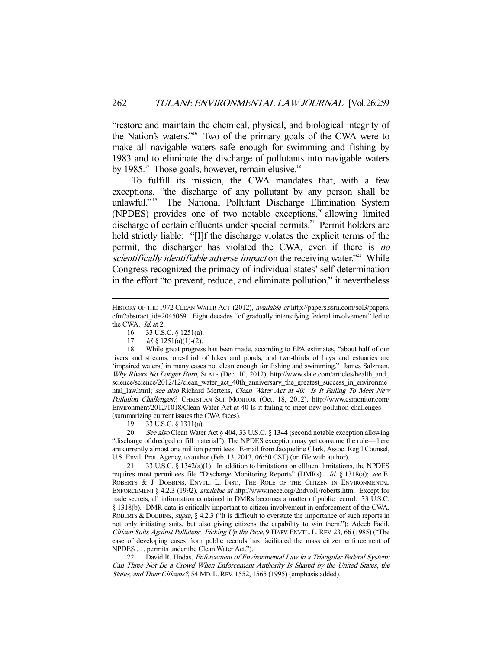"restore and maintain the chemical, physical, and biological integrity of the Nation's waters."16 Two of the primary goals of the CWA were to make all navigable waters safe enough for swimming and fishing by 1983 and to eliminate the discharge of pollutants into navigable waters by 1985.<sup>17</sup> Those goals, however, remain elusive.<sup>18</sup>

 To fulfill its mission, the CWA mandates that, with a few exceptions, "the discharge of any pollutant by any person shall be unlawful."<sup>19</sup> The National Pollutant Discharge Elimination System (NPDES) provides one of two notable exceptions, $2^{\circ}$  allowing limited discharge of certain effluents under special permits.<sup>21</sup> Permit holders are held strictly liable: "[I]f the discharge violates the explicit terms of the permit, the discharger has violated the CWA, even if there is no scientifically identifiable adverse impact on the receiving water.<sup>"22</sup> While Congress recognized the primacy of individual states' self-determination in the effort "to prevent, reduce, and eliminate pollution," it nevertheless

16. 33 U.S.C. § 1251(a).

-

19. 33 U.S.C. § 1311(a).

20. See also Clean Water Act § 404, 33 U.S.C. § 1344 (second notable exception allowing "discharge of dredged or fill material"). The NPDES exception may yet consume the rule—there are currently almost one million permittees. E-mail from Jacqueline Clark, Assoc. Reg'l Counsel, U.S. Envtl. Prot. Agency, to author (Feb. 13, 2013, 06:50 CST) (on file with author).

 21. 33 U.S.C. § 1342(a)(1). In addition to limitations on effluent limitations, the NPDES requires most permittees file "Discharge Monitoring Reports" (DMRs). Id. § 1318(a); see E. ROBERTS & J. DOBBINS, ENVTL. L. INST., THE ROLE OF THE CITIZEN IN ENVIRONMENTAL ENFORCEMENT § 4.2.3 (1992), available at http://www.inece.org/2ndvol1/roberts.htm. Except for trade secrets, all information contained in DMRs becomes a matter of public record. 33 U.S.C. § 1318(b). DMR data is critically important to citizen involvement in enforcement of the CWA. ROBERTS & DOBBINS, supra, § 4.2.3 ("It is difficult to overstate the importance of such reports in not only initiating suits, but also giving citizens the capability to win them."); Adeeb Fadil, Citizen Suits Against Polluters: Picking Up the Pace, 9 HARV. ENVTL. L.REV. 23, 66 (1985) ("The ease of developing cases from public records has facilitated the mass citizen enforcement of NPDES . . . permits under the Clean Water Act.").

22. David R. Hodas, *Enforcement of Environmental Law in a Triangular Federal System:* Can Three Not Be a Crowd When Enforcement Authority Is Shared by the United States, the States, and Their Citizens?, 54 MD. L. REV. 1552, 1565 (1995) (emphasis added).

HISTORY OF THE 1972 CLEAN WATER ACT (2012), *available at* http://papers.ssrn.com/sol3/papers. cfm?abstract\_id=2045069. Eight decades "of gradually intensifying federal involvement" led to the CWA. Id. at 2.

<sup>17.</sup> *Id.* § 1251(a)(1)-(2).

 <sup>18.</sup> While great progress has been made, according to EPA estimates, "about half of our rivers and streams, one-third of lakes and ponds, and two-thirds of bays and estuaries are 'impaired waters,' in many cases not clean enough for fishing and swimming." James Salzman, Why Rivers No Longer Burn, SLATE (Dec. 10, 2012), http://www.slate.com/articles/health\_and science/science/2012/12/clean\_water\_act\_40th\_anniversary\_the\_greatest\_success\_in\_environme ntal\_law.html; see also Richard Mertens, Clean Water Act at 40: Is It Failing To Meet New Pollution Challenges?, CHRISTIAN SCI. MONITOR (Oct. 18, 2012), http://www.csmonitor.com/ Environment/2012/1018/Clean-Water-Act-at-40-Is-it-failing-to-meet-new-pollution-challenges (summarizing current issues the CWA faces).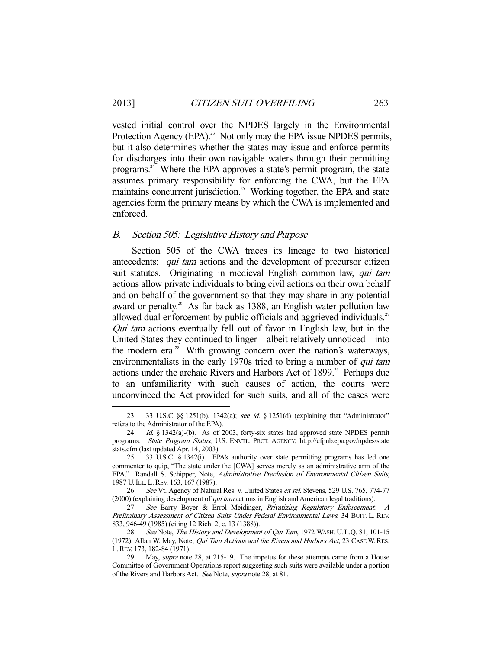vested initial control over the NPDES largely in the Environmental Protection Agency (EPA).<sup>23</sup> Not only may the EPA issue NPDES permits, but it also determines whether the states may issue and enforce permits for discharges into their own navigable waters through their permitting programs.24 Where the EPA approves a state's permit program, the state assumes primary responsibility for enforcing the CWA, but the EPA maintains concurrent jurisdiction.<sup>25</sup> Working together, the EPA and state agencies form the primary means by which the CWA is implemented and enforced.

#### B. Section 505: Legislative History and Purpose

-

 Section 505 of the CWA traces its lineage to two historical antecedents: *qui tam* actions and the development of precursor citizen suit statutes. Originating in medieval English common law, *qui tam* actions allow private individuals to bring civil actions on their own behalf and on behalf of the government so that they may share in any potential award or penalty.<sup>26</sup> As far back as 1388, an English water pollution law allowed dual enforcement by public officials and aggrieved individuals.<sup>27</sup> Qui tam actions eventually fell out of favor in English law, but in the United States they continued to linger—albeit relatively unnoticed—into the modern era. $^{28}$  With growing concern over the nation's waterways, environmentalists in the early 1970s tried to bring a number of *qui tam* actions under the archaic Rivers and Harbors Act of 1899.<sup>29</sup> Perhaps due to an unfamiliarity with such causes of action, the courts were unconvinced the Act provided for such suits, and all of the cases were

<sup>23. 33</sup> U.S.C §§ 1251(b), 1342(a); see id. § 1251(d) (explaining that "Administrator" refers to the Administrator of the EPA).

 <sup>24.</sup> Id. § 1342(a)-(b). As of 2003, forty-six states had approved state NPDES permit programs. State Program Status, U.S. ENVTL. PROT. AGENCY, http://cfpub.epa.gov/npdes/state stats.cfm (last updated Apr. 14, 2003).

 <sup>25. 33</sup> U.S.C. § 1342(i). EPA's authority over state permitting programs has led one commenter to quip, "The state under the [CWA] serves merely as an administrative arm of the EPA." Randall S. Schipper, Note, Administrative Preclusion of Environmental Citizen Suits, 1987 U.ILL. L.REV. 163, 167 (1987).

<sup>26.</sup> See Vt. Agency of Natural Res. v. United States ex rel. Stevens, 529 U.S. 765, 774-77 (2000) (explaining development of qui tam actions in English and American legal traditions).

 <sup>27.</sup> See Barry Boyer & Errol Meidinger, Privatizing Regulatory Enforcement: A Preliminary Assessment of Citizen Suits Under Federal Environmental Laws, 34 BUFF. L. REV. 833, 946-49 (1985) (citing 12 Rich. 2, c. 13 (1388)).

<sup>28.</sup> See Note, The History and Development of Qui Tam, 1972 WASH. U.L.Q. 81, 101-15 (1972); Allan W. May, Note, *Qui Tam Actions and the Rivers and Harbors Act*, 23 CASE W. RES. L.REV. 173, 182-84 (1971).

<sup>29.</sup> May, *supra* note 28, at 215-19. The impetus for these attempts came from a House Committee of Government Operations report suggesting such suits were available under a portion of the Rivers and Harbors Act. See Note, supra note 28, at 81.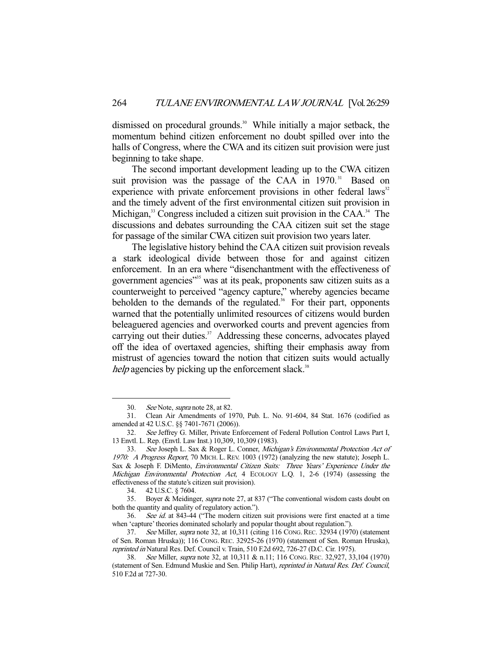dismissed on procedural grounds.<sup>30</sup> While initially a major setback, the momentum behind citizen enforcement no doubt spilled over into the halls of Congress, where the CWA and its citizen suit provision were just beginning to take shape.

 The second important development leading up to the CWA citizen suit provision was the passage of the CAA in 1970.<sup>31</sup> Based on experience with private enforcement provisions in other federal laws $32$ and the timely advent of the first environmental citizen suit provision in Michigan,<sup>33</sup> Congress included a citizen suit provision in the CAA.<sup>34</sup> The discussions and debates surrounding the CAA citizen suit set the stage for passage of the similar CWA citizen suit provision two years later.

 The legislative history behind the CAA citizen suit provision reveals a stark ideological divide between those for and against citizen enforcement. In an era where "disenchantment with the effectiveness of government agencies"<sup>35</sup> was at its peak, proponents saw citizen suits as a counterweight to perceived "agency capture," whereby agencies became beholden to the demands of the regulated.<sup>36</sup> For their part, opponents warned that the potentially unlimited resources of citizens would burden beleaguered agencies and overworked courts and prevent agencies from carrying out their duties.<sup>37</sup> Addressing these concerns, advocates played off the idea of overtaxed agencies, shifting their emphasis away from mistrust of agencies toward the notion that citizen suits would actually help agencies by picking up the enforcement slack.<sup>38</sup>

 <sup>30.</sup> See Note, supra note 28, at 82.

 <sup>31.</sup> Clean Air Amendments of 1970, Pub. L. No. 91-604, 84 Stat. 1676 (codified as amended at 42 U.S.C. §§ 7401-7671 (2006)).

 <sup>32.</sup> See Jeffrey G. Miller, Private Enforcement of Federal Pollution Control Laws Part I, 13 Envtl. L. Rep. (Envtl. Law Inst.) 10,309, 10,309 (1983).

<sup>33.</sup> See Joseph L. Sax & Roger L. Conner, Michigan's Environmental Protection Act of 1970: A Progress Report, 70 MICH. L. REV. 1003 (1972) (analyzing the new statute); Joseph L. Sax & Joseph F. DiMento, Environmental Citizen Suits: Three Years' Experience Under the Michigan Environmental Protection Act, 4 ECOLOGY L.Q. 1, 2-6 (1974) (assessing the effectiveness of the statute's citizen suit provision).

 <sup>34. 42</sup> U.S.C. § 7604.

<sup>35.</sup> Boyer & Meidinger, supra note 27, at 837 ("The conventional wisdom casts doubt on both the quantity and quality of regulatory action.").

 <sup>36.</sup> See id. at 843-44 ("The modern citizen suit provisions were first enacted at a time when 'capture' theories dominated scholarly and popular thought about regulation.").

 <sup>37.</sup> See Miller, supra note 32, at 10,311 (citing 116 CONG.REC. 32934 (1970) (statement of Sen. Roman Hruska)); 116 CONG. REC. 32925-26 (1970) (statement of Sen. Roman Hruska), reprinted in Natural Res. Def. Council v. Train, 510 F.2d 692, 726-27 (D.C. Cir. 1975).

<sup>38.</sup> See Miller, *supra* note 32, at 10,311 & n.11; 116 Cong. Rec. 32,927, 33,104 (1970) (statement of Sen. Edmund Muskie and Sen. Philip Hart), reprinted in Natural Res. Def. Council, 510 F.2d at 727-30.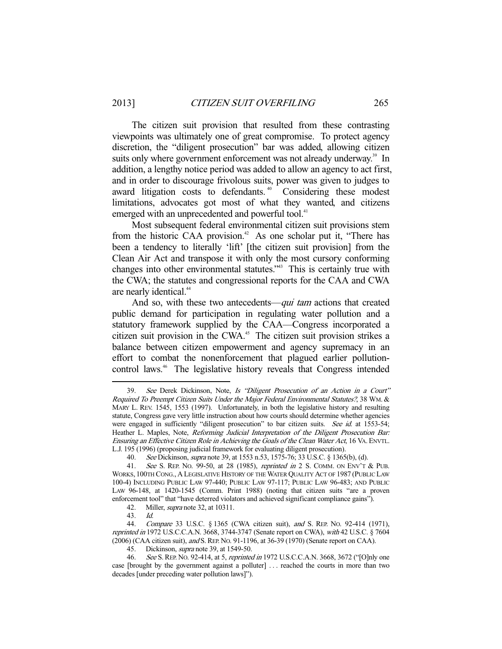The citizen suit provision that resulted from these contrasting viewpoints was ultimately one of great compromise. To protect agency discretion, the "diligent prosecution" bar was added, allowing citizen suits only where government enforcement was not already underway.<sup>39</sup> In addition, a lengthy notice period was added to allow an agency to act first, and in order to discourage frivolous suits, power was given to judges to award litigation costs to defendants.<sup>40</sup> Considering these modest limitations, advocates got most of what they wanted, and citizens emerged with an unprecedented and powerful tool.<sup>41</sup>

 Most subsequent federal environmental citizen suit provisions stem from the historic CAA provision.<sup>42</sup> As one scholar put it, "There has been a tendency to literally 'lift' [the citizen suit provision] from the Clean Air Act and transpose it with only the most cursory conforming changes into other environmental statutes."43 This is certainly true with the CWA; the statutes and congressional reports for the CAA and CWA are nearly identical.<sup>44</sup>

And so, with these two antecedents—*qui tam* actions that created public demand for participation in regulating water pollution and a statutory framework supplied by the CAA—Congress incorporated a citizen suit provision in the CWA.<sup>45</sup> The citizen suit provision strikes a balance between citizen empowerment and agency supremacy in an effort to combat the nonenforcement that plagued earlier pollutioncontrol laws.<sup>46</sup> The legislative history reveals that Congress intended

<sup>39.</sup> See Derek Dickinson, Note, Is "Diligent Prosecution of an Action in a Court" Required To Preempt Citizen Suits Under the Major Federal Environmental Statutes?, 38 WM.& MARY L. REV. 1545, 1553 (1997). Unfortunately, in both the legislative history and resulting statute, Congress gave very little instruction about how courts should determine whether agencies were engaged in sufficiently "diligent prosecution" to bar citizen suits. See id. at 1553-54; Heather L. Maples, Note, Reforming Judicial Interpretation of the Diligent Prosecution Bar: Ensuring an Effective Citizen Role in Achieving the Goals of the Clean Water Act, 16 VA. ENVTL. L.J. 195 (1996) (proposing judicial framework for evaluating diligent prosecution).

<sup>40.</sup> See Dickinson, *supra* note 39, at 1553 n.53, 1575-76; 33 U.S.C. § 1365(b), (d).

<sup>41.</sup> See S. REP. No. 99-50, at 28 (1985), reprinted in 2 S. COMM. ON ENV'T & PUB. WORKS, 100TH CONG., A LEGISLATIVE HISTORY OF THE WATER QUALITY ACT OF 1987 (PUBLIC LAW 100-4) INCLUDING PUBLIC LAW 97-440; PUBLIC LAW 97-117; PUBLIC LAW 96-483; AND PUBLIC LAW 96-148, at 1420-1545 (Comm. Print 1988) (noting that citizen suits "are a proven enforcement tool" that "have deterred violators and achieved significant compliance gains").

 <sup>42.</sup> Miller, supra note 32, at 10311.

 <sup>43.</sup> Id.

 <sup>44.</sup> Compare 33 U.S.C. § 1365 (CWA citizen suit), and S. REP. NO. 92-414 (1971), reprinted in 1972 U.S.C.C.A.N. 3668, 3744-3747 (Senate report on CWA), with 42 U.S.C. § 7604 (2006) (CAA citizen suit), and S.REP. NO. 91-1196, at 36-39 (1970) (Senate report on CAA).

<sup>45.</sup> Dickinson, *supra* note 39, at 1549-50.

<sup>46.</sup> See S. REP. No. 92-414, at 5, reprinted in 1972 U.S.C.C.A.N. 3668, 3672 ("[O]nly one case [brought by the government against a polluter] . . . reached the courts in more than two decades [under preceding water pollution laws]").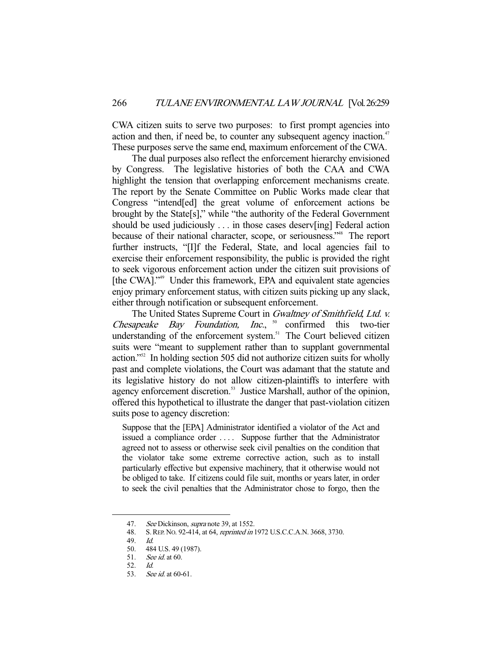CWA citizen suits to serve two purposes: to first prompt agencies into action and then, if need be, to counter any subsequent agency inaction.<sup>47</sup> These purposes serve the same end, maximum enforcement of the CWA.

 The dual purposes also reflect the enforcement hierarchy envisioned by Congress. The legislative histories of both the CAA and CWA highlight the tension that overlapping enforcement mechanisms create. The report by the Senate Committee on Public Works made clear that Congress "intend[ed] the great volume of enforcement actions be brought by the State[s]," while "the authority of the Federal Government should be used judiciously . . . in those cases deserv[ing] Federal action because of their national character, scope, or seriousness."48 The report further instructs, "[I]f the Federal, State, and local agencies fail to exercise their enforcement responsibility, the public is provided the right to seek vigorous enforcement action under the citizen suit provisions of [the CWA]."<sup>49</sup> Under this framework, EPA and equivalent state agencies enjoy primary enforcement status, with citizen suits picking up any slack, either through notification or subsequent enforcement.

The United States Supreme Court in *Gwaltney of Smithfield, Ltd. v.* Chesapeake Bay Foundation, Inc.,  $50$  confirmed this two-tier understanding of the enforcement system.<sup>51</sup> The Court believed citizen suits were "meant to supplement rather than to supplant governmental action."52 In holding section 505 did not authorize citizen suits for wholly past and complete violations, the Court was adamant that the statute and its legislative history do not allow citizen-plaintiffs to interfere with agency enforcement discretion.<sup>53</sup> Justice Marshall, author of the opinion, offered this hypothetical to illustrate the danger that past-violation citizen suits pose to agency discretion:

Suppose that the [EPA] Administrator identified a violator of the Act and issued a compliance order .... Suppose further that the Administrator agreed not to assess or otherwise seek civil penalties on the condition that the violator take some extreme corrective action, such as to install particularly effective but expensive machinery, that it otherwise would not be obliged to take. If citizens could file suit, months or years later, in order to seek the civil penalties that the Administrator chose to forgo, then the

<sup>47.</sup> See Dickinson, *supra* note 39, at 1552.

 <sup>48.</sup> S.REP. NO. 92-414, at 64, reprinted in 1972 U.S.C.C.A.N. 3668, 3730.

 <sup>49.</sup> Id.

 <sup>50. 484</sup> U.S. 49 (1987).

 <sup>51.</sup> See id. at 60.

 <sup>52.</sup> Id.

 <sup>53.</sup> See id. at 60-61.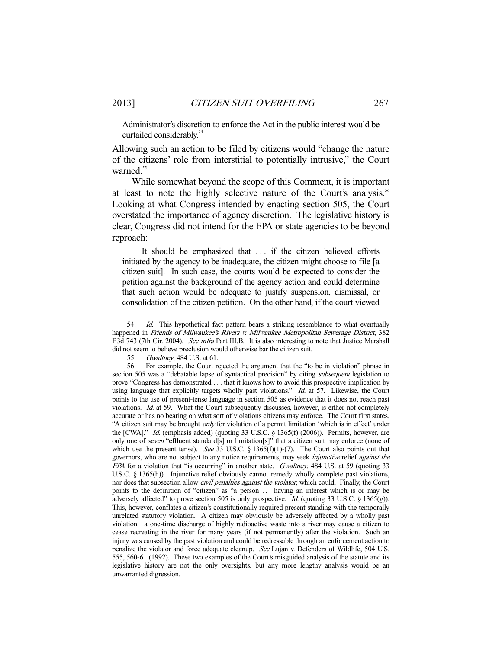Administrator's discretion to enforce the Act in the public interest would be curtailed considerably.<sup>54</sup>

Allowing such an action to be filed by citizens would "change the nature of the citizens' role from interstitial to potentially intrusive," the Court warned.<sup>55</sup>

 While somewhat beyond the scope of this Comment, it is important at least to note the highly selective nature of the Court's analysis.<sup>56</sup> Looking at what Congress intended by enacting section 505, the Court overstated the importance of agency discretion. The legislative history is clear, Congress did not intend for the EPA or state agencies to be beyond reproach:

It should be emphasized that ... if the citizen believed efforts initiated by the agency to be inadequate, the citizen might choose to file [a citizen suit]. In such case, the courts would be expected to consider the petition against the background of the agency action and could determine that such action would be adequate to justify suspension, dismissal, or consolidation of the citizen petition. On the other hand, if the court viewed

<sup>54.</sup> Id. This hypothetical fact pattern bears a striking resemblance to what eventually happened in Friends of Milwaukee's Rivers v. Milwaukee Metropolitan Sewerage District, 382 F.3d 743 (7th Cir. 2004). See infra Part III.B. It is also interesting to note that Justice Marshall did not seem to believe preclusion would otherwise bar the citizen suit.

 <sup>55.</sup> Gwaltney, 484 U.S. at 61.

 <sup>56.</sup> For example, the Court rejected the argument that the "to be in violation" phrase in section 505 was a "debatable lapse of syntactical precision" by citing *subsequent* legislation to prove "Congress has demonstrated . . . that it knows how to avoid this prospective implication by using language that explicitly targets wholly past violations." Id. at 57. Likewise, the Court points to the use of present-tense language in section 505 as evidence that it does not reach past violations. Id. at 59. What the Court subsequently discusses, however, is either not completely accurate or has no bearing on what sort of violations citizens may enforce. The Court first states, "A citizen suit may be brought only for violation of a permit limitation 'which is in effect' under the [CWA]." Id. (emphasis added) (quoting 33 U.S.C.  $\S$  1365(f) (2006)). Permits, however, are only one of seven "effluent standard[s] or limitation[s]" that a citizen suit may enforce (none of which use the present tense). See 33 U.S.C. § 1365(f)(1)-(7). The Court also points out that governors, who are not subject to any notice requirements, may seek *injunctive* relief *against the* EPA for a violation that "is occurring" in another state. Gwaltney, 484 U.S. at 59 (quoting 33 U.S.C. § 1365(h)). Injunctive relief obviously cannot remedy wholly complete past violations, nor does that subsection allow *civil penalties against the violator*, which could. Finally, the Court points to the definition of "citizen" as "a person . . . having an interest which is or may be adversely affected" to prove section 505 is only prospective. *Id.* (quoting 33 U.S.C. § 1365(g)). This, however, conflates a citizen's constitutionally required present standing with the temporally unrelated statutory violation. A citizen may obviously be adversely affected by a wholly past violation: a one-time discharge of highly radioactive waste into a river may cause a citizen to cease recreating in the river for many years (if not permanently) after the violation. Such an injury was caused by the past violation and could be redressable through an enforcement action to penalize the violator and force adequate cleanup. See Lujan v. Defenders of Wildlife, 504 U.S. 555, 560-61 (1992). These two examples of the Court's misguided analysis of the statute and its legislative history are not the only oversights, but any more lengthy analysis would be an unwarranted digression.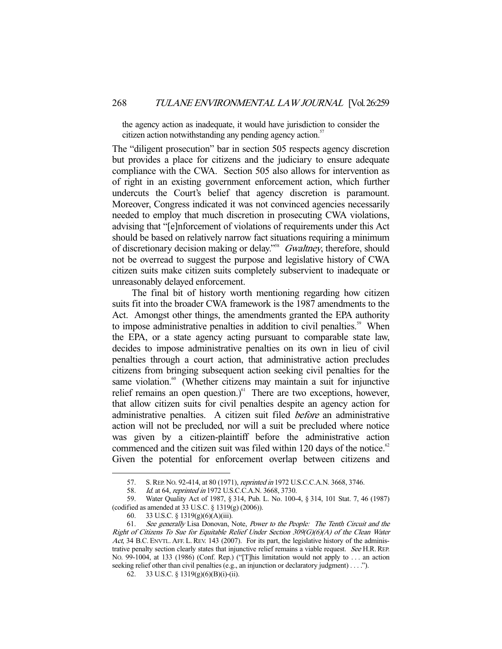the agency action as inadequate, it would have jurisdiction to consider the citizen action notwithstanding any pending agency action.<sup>57</sup>

The "diligent prosecution" bar in section 505 respects agency discretion but provides a place for citizens and the judiciary to ensure adequate compliance with the CWA. Section 505 also allows for intervention as of right in an existing government enforcement action, which further undercuts the Court's belief that agency discretion is paramount. Moreover, Congress indicated it was not convinced agencies necessarily needed to employ that much discretion in prosecuting CWA violations, advising that "[e]nforcement of violations of requirements under this Act should be based on relatively narrow fact situations requiring a minimum of discretionary decision making or delay."<sup>58</sup> Gwaltney, therefore, should not be overread to suggest the purpose and legislative history of CWA citizen suits make citizen suits completely subservient to inadequate or unreasonably delayed enforcement.

 The final bit of history worth mentioning regarding how citizen suits fit into the broader CWA framework is the 1987 amendments to the Act. Amongst other things, the amendments granted the EPA authority to impose administrative penalties in addition to civil penalties.<sup>59</sup> When the EPA, or a state agency acting pursuant to comparable state law, decides to impose administrative penalties on its own in lieu of civil penalties through a court action, that administrative action precludes citizens from bringing subsequent action seeking civil penalties for the same violation. $60$  (Whether citizens may maintain a suit for injunctive relief remains an open question.) $^{61}$  There are two exceptions, however, that allow citizen suits for civil penalties despite an agency action for administrative penalties. A citizen suit filed before an administrative action will not be precluded, nor will a suit be precluded where notice was given by a citizen-plaintiff before the administrative action commenced and the citizen suit was filed within 120 days of the notice.<sup>62</sup> Given the potential for enforcement overlap between citizens and

 <sup>57.</sup> S.REP. NO. 92-414, at 80 (1971), reprinted in 1972 U.S.C.C.A.N. 3668, 3746.

 <sup>58.</sup> Id. at 64, reprinted in 1972 U.S.C.C.A.N. 3668, 3730.

 <sup>59.</sup> Water Quality Act of 1987, § 314, Pub. L. No. 100-4, § 314, 101 Stat. 7, 46 (1987) (codified as amended at 33 U.S.C. § 1319(g) (2006)).

 <sup>60. 33</sup> U.S.C. § 1319(g)(6)(A)(iii).

 <sup>61.</sup> See generally Lisa Donovan, Note, Power to the People: The Tenth Circuit and the Right of Citizens To Sue for Equitable Relief Under Section 309(G)(6)(A) of the Clean Water Act, 34 B.C. ENVTL. AFF. L. REV. 143 (2007). For its part, the legislative history of the administrative penalty section clearly states that injunctive relief remains a viable request. See H.R.REP. NO. 99-1004, at 133 (1986) (Conf. Rep.) ("[T]his limitation would not apply to . . . an action seeking relief other than civil penalties (e.g., an injunction or declaratory judgment) . . . .").

 <sup>62. 33</sup> U.S.C. § 1319(g)(6)(B)(i)-(ii).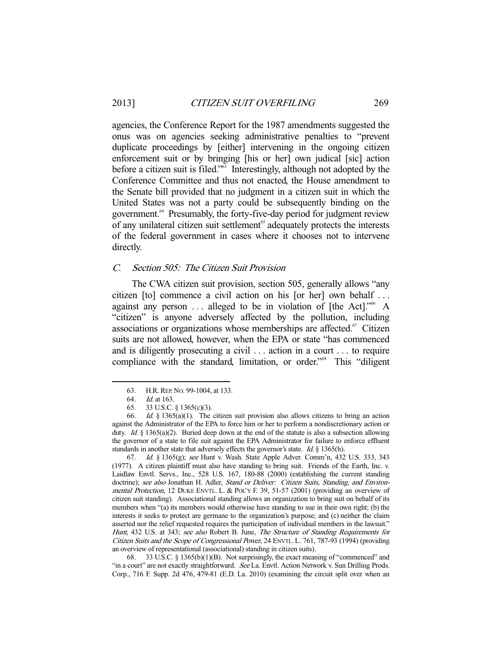agencies, the Conference Report for the 1987 amendments suggested the onus was on agencies seeking administrative penalties to "prevent duplicate proceedings by [either] intervening in the ongoing citizen enforcement suit or by bringing [his or her] own judical [sic] action before a citizen suit is filed."63 Interestingly, although not adopted by the Conference Committee and thus not enacted, the House amendment to the Senate bill provided that no judgment in a citizen suit in which the United States was not a party could be subsequently binding on the government.64 Presumably, the forty-five-day period for judgment review of any unilateral citizen suit settlement<sup>65</sup> adequately protects the interests of the federal government in cases where it chooses not to intervene directly.

# C. Section 505: The Citizen Suit Provision

 The CWA citizen suit provision, section 505, generally allows "any citizen [to] commence a civil action on his [or her] own behalf . . . against any person  $\dots$  alleged to be in violation of [the Act].<sup> $106$ </sup> A "citizen" is anyone adversely affected by the pollution, including associations or organizations whose memberships are affected. $67$  Citizen suits are not allowed, however, when the EPA or state "has commenced and is diligently prosecuting a civil . . . action in a court . . . to require compliance with the standard, limitation, or order."<sup>68</sup> This "diligent

-

 67. Id. § 1365(g); see Hunt v. Wash. State Apple Adver. Comm'n, 432 U.S. 333, 343 (1977). A citizen plaintiff must also have standing to bring suit. Friends of the Earth, Inc. v. Laidlaw Envtl. Servs., Inc., 528 U.S. 167, 180-88 (2000) (establishing the current standing doctrine); see also Jonathan H. Adler, Stand or Deliver: Citizen Suits, Standing, and Environmental Protection, 12 DUKE ENVTL. L. & POL'Y F. 39, 51-57 (2001) (providing an overview of citizen suit standing). Associational standing allows an organization to bring suit on behalf of its members when "(a) its members would otherwise have standing to sue in their own right; (b) the interests it seeks to protect are germane to the organization's purpose; and (c) neither the claim asserted nor the relief requested requires the participation of individual members in the lawsuit." Hunt, 432 U.S. at 343; see also Robert B. June, The Structure of Standing Requirements for Citizen Suits and the Scope of Congressional Power, 24 ENVTL. L. 761, 787-93 (1994) (providing an overview of representational (associational) standing in citizen suits).

 68. 33 U.S.C. § 1365(b)(1)(B). Not surprisingly, the exact meaning of "commenced" and "in a court" are not exactly straightforward. See La. Envtl. Action Network v. Sun Drilling Prods. Corp., 716 F. Supp. 2d 476, 479-81 (E.D. La. 2010) (examining the circuit split over when an

 <sup>63.</sup> H.R.REP. NO. 99-1004, at 133.

 <sup>64.</sup> Id. at 163.

 <sup>65. 33</sup> U.S.C. § 1365(c)(3).

<sup>66.</sup> Id.  $§$  1365(a)(1). The citizen suit provision also allows citizens to bring an action against the Administrator of the EPA to force him or her to perform a nondiscretionary action or duty. Id.  $§$  1365(a)(2). Buried deep down at the end of the statute is also a subsection allowing the governor of a state to file suit against the EPA Administrator for failure to enforce effluent standards in another state that adversely effects the governor's state. Id.  $\S$  1365(h).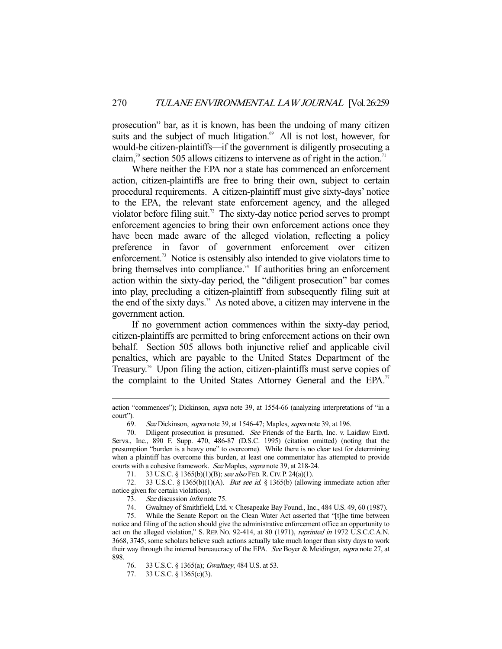prosecution" bar, as it is known, has been the undoing of many citizen suits and the subject of much litigation.<sup>69</sup> All is not lost, however, for would-be citizen-plaintiffs—if the government is diligently prosecuting a claim,<sup>70</sup> section 505 allows citizens to intervene as of right in the action.<sup>71</sup>

 Where neither the EPA nor a state has commenced an enforcement action, citizen-plaintiffs are free to bring their own, subject to certain procedural requirements. A citizen-plaintiff must give sixty-days' notice to the EPA, the relevant state enforcement agency, and the alleged violator before filing suit.<sup>72</sup> The sixty-day notice period serves to prompt enforcement agencies to bring their own enforcement actions once they have been made aware of the alleged violation, reflecting a policy preference in favor of government enforcement over citizen enforcement.<sup>73</sup> Notice is ostensibly also intended to give violators time to bring themselves into compliance.<sup>74</sup> If authorities bring an enforcement action within the sixty-day period, the "diligent prosecution" bar comes into play, precluding a citizen-plaintiff from subsequently filing suit at the end of the sixty days.<sup>75</sup> As noted above, a citizen may intervene in the government action.

 If no government action commences within the sixty-day period, citizen-plaintiffs are permitted to bring enforcement actions on their own behalf. Section 505 allows both injunctive relief and applicable civil penalties, which are payable to the United States Department of the Treasury.<sup>76</sup> Upon filing the action, citizen-plaintiffs must serve copies of the complaint to the United States Attorney General and the EPA.<sup>77</sup>

action "commences"); Dickinson, *supra* note 39, at 1554-66 (analyzing interpretations of "in a court").

 <sup>69.</sup> See Dickinson, supra note 39, at 1546-47; Maples, supra note 39, at 196.

<sup>70.</sup> Diligent prosecution is presumed. See Friends of the Earth, Inc. v. Laidlaw Envtl. Servs., Inc., 890 F. Supp. 470, 486-87 (D.S.C. 1995) (citation omitted) (noting that the presumption "burden is a heavy one" to overcome). While there is no clear test for determining when a plaintiff has overcome this burden, at least one commentator has attempted to provide courts with a cohesive framework. See Maples, supra note 39, at 218-24.

 <sup>71. 33</sup> U.S.C. § 1365(b)(1)(B); see also FED.R.CIV. P. 24(a)(1).

<sup>72. 33</sup> U.S.C. § 1365(b)(1)(A). *But see id.* § 1365(b) (allowing immediate action after notice given for certain violations).

 <sup>73.</sup> See discussion infra note 75.

 <sup>74.</sup> Gwaltney of Smithfield, Ltd. v. Chesapeake Bay Found., Inc., 484 U.S. 49, 60 (1987).

 <sup>75.</sup> While the Senate Report on the Clean Water Act asserted that "[t]he time between notice and filing of the action should give the administrative enforcement office an opportunity to act on the alleged violation," S. REP. No. 92-414, at 80 (1971), *reprinted in* 1972 U.S.C.C.A.N. 3668, 3745, some scholars believe such actions actually take much longer than sixty days to work their way through the internal bureaucracy of the EPA. See Boyer & Meidinger, supra note 27, at 898.

 <sup>76. 33</sup> U.S.C. § 1365(a); Gwaltney, 484 U.S. at 53.

 <sup>77. 33</sup> U.S.C. § 1365(c)(3).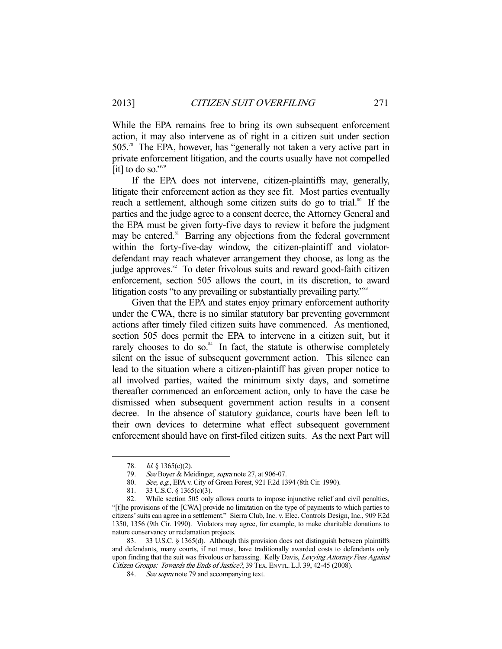While the EPA remains free to bring its own subsequent enforcement action, it may also intervene as of right in a citizen suit under section 505.78 The EPA, however, has "generally not taken a very active part in private enforcement litigation, and the courts usually have not compelled [it] to do so."<sup>79</sup>

 If the EPA does not intervene, citizen-plaintiffs may, generally, litigate their enforcement action as they see fit. Most parties eventually reach a settlement, although some citizen suits do go to trial.<sup>80</sup> If the parties and the judge agree to a consent decree, the Attorney General and the EPA must be given forty-five days to review it before the judgment may be entered.<sup>81</sup> Barring any objections from the federal government within the forty-five-day window, the citizen-plaintiff and violatordefendant may reach whatever arrangement they choose, as long as the judge approves.<sup>82</sup> To deter frivolous suits and reward good-faith citizen enforcement, section 505 allows the court, in its discretion, to award litigation costs "to any prevailing or substantially prevailing party."<sup>83</sup>

 Given that the EPA and states enjoy primary enforcement authority under the CWA, there is no similar statutory bar preventing government actions after timely filed citizen suits have commenced. As mentioned, section 505 does permit the EPA to intervene in a citizen suit, but it rarely chooses to do so. $84$  In fact, the statute is otherwise completely silent on the issue of subsequent government action. This silence can lead to the situation where a citizen-plaintiff has given proper notice to all involved parties, waited the minimum sixty days, and sometime thereafter commenced an enforcement action, only to have the case be dismissed when subsequent government action results in a consent decree. In the absence of statutory guidance, courts have been left to their own devices to determine what effect subsequent government enforcement should have on first-filed citizen suits. As the next Part will

<sup>78.</sup> *Id.* § 1365(c)(2).

<sup>79.</sup> See Boyer & Meidinger, *supra* note 27, at 906-07.

 <sup>80.</sup> See, e.g., EPA v. City of Green Forest, 921 F.2d 1394 (8th Cir. 1990).

 <sup>81. 33</sup> U.S.C. § 1365(c)(3).

 <sup>82.</sup> While section 505 only allows courts to impose injunctive relief and civil penalties, "[t]he provisions of the [CWA] provide no limitation on the type of payments to which parties to citizens' suits can agree in a settlement." Sierra Club, Inc. v. Elec. Controls Design, Inc., 909 F.2d 1350, 1356 (9th Cir. 1990). Violators may agree, for example, to make charitable donations to nature conservancy or reclamation projects.

 <sup>83. 33</sup> U.S.C. § 1365(d). Although this provision does not distinguish between plaintiffs and defendants, many courts, if not most, have traditionally awarded costs to defendants only upon finding that the suit was frivolous or harassing. Kelly Davis, Levying Attorney Fees Against Citizen Groups: Towards the Ends of Justice?, 39 TEX.ENVTL. L.J. 39, 42-45 (2008).

<sup>84.</sup> See supra note 79 and accompanying text.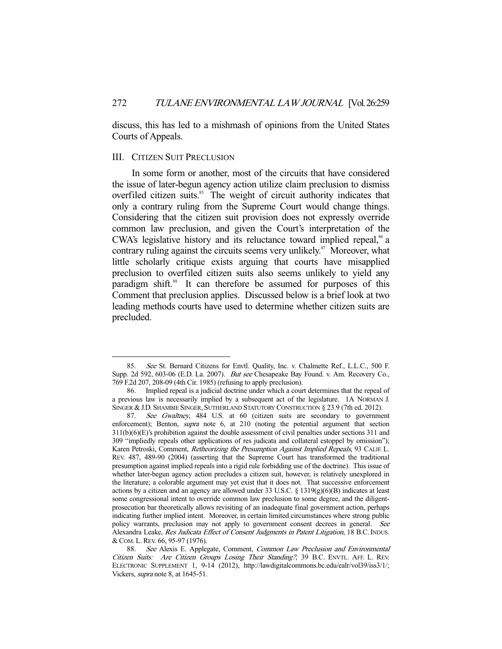discuss, this has led to a mishmash of opinions from the United States Courts of Appeals.

#### III. CITIZEN SUIT PRECLUSION

-

 In some form or another, most of the circuits that have considered the issue of later-begun agency action utilize claim preclusion to dismiss overfiled citizen suits.<sup>85</sup> The weight of circuit authority indicates that only a contrary ruling from the Supreme Court would change things. Considering that the citizen suit provision does not expressly override common law preclusion, and given the Court's interpretation of the CWA's legislative history and its reluctance toward implied repeal, $\frac{8}{3}$  a contrary ruling against the circuits seems very unlikely.<sup>87</sup> Moreover, what little scholarly critique exists arguing that courts have misapplied preclusion to overfiled citizen suits also seems unlikely to yield any paradigm shift.<sup>88</sup> It can therefore be assumed for purposes of this Comment that preclusion applies. Discussed below is a brief look at two leading methods courts have used to determine whether citizen suits are precluded.

 <sup>85.</sup> See St. Bernard Citizens for Envtl. Quality, Inc. v. Chalmette Ref., L.L.C., 500 F. Supp. 2d 592, 603-06 (E.D. La. 2007). But see Chesapeake Bay Found. v. Am. Recovery Co., 769 F.2d 207, 208-09 (4th Cir. 1985) (refusing to apply preclusion).

 <sup>86.</sup> Implied repeal is a judicial doctrine under which a court determines that the repeal of a previous law is necessarily implied by a subsequent act of the legislature. 1A NORMAN J. SINGER & J.D. SHAMBIE SINGER, SUTHERLAND STATUTORY CONSTRUCTION § 23.9 (7th ed. 2012).

<sup>87.</sup> See Gwaltney, 484 U.S. at 60 (citizen suits are secondary to government enforcement); Benton, *supra* note 6, at 210 (noting the potential argument that section 311(b)(6)(E)'s prohibition against the double assessment of civil penalties under sections 311 and 309 "impliedly repeals other applications of res judicata and collateral estoppel by omission"); Karen Petroski, Comment, Retheorizing the Presumption Against Implied Repeals, 93 CALIF. L. REV. 487, 489-90 (2004) (asserting that the Supreme Court has transformed the traditional presumption against implied repeals into a rigid rule forbidding use of the doctrine). This issue of whether later-begun agency action precludes a citizen suit, however, is relatively unexplored in the literature; a colorable argument may yet exist that it does not. That successive enforcement actions by a citizen and an agency are allowed under 33 U.S.C. § 1319 $(g)(6)(B)$  indicates at least some congressional intent to override common law preclusion to some degree, and the diligentprosecution bar theoretically allows revisiting of an inadequate final government action, perhaps indicating further implied intent. Moreover, in certain limited circumstances where strong public policy warrants, preclusion may not apply to government consent decrees in general. See Alexandra Leake, Res Judicata Effect of Consent Judgments in Patent Litigation, 18 B.C. INDUS. &COM. L.REV. 66, 95-97 (1976).

<sup>88.</sup> See Alexis E. Applegate, Comment, Common Law Preclusion and Environmental Citizen Suits: Are Citizen Groups Losing Their Standing?, 39 B.C. ENVTL. AFF. L. REV. ELECTRONIC SUPPLEMENT 1, 9-14 (2012), http://lawdigitalcommons.bc.edu/ealr/vol39/iss3/1/; Vickers, supra note 8, at 1645-51.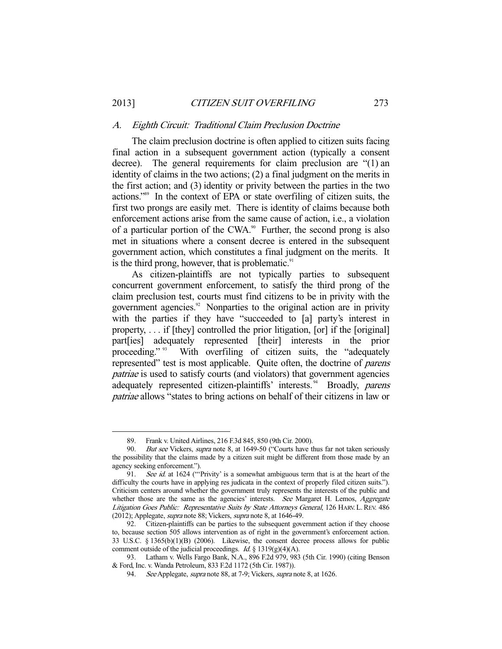#### A. Eighth Circuit: Traditional Claim Preclusion Doctrine

 The claim preclusion doctrine is often applied to citizen suits facing final action in a subsequent government action (typically a consent decree). The general requirements for claim preclusion are "(1) an identity of claims in the two actions; (2) a final judgment on the merits in the first action; and (3) identity or privity between the parties in the two actions."89 In the context of EPA or state overfiling of citizen suits, the first two prongs are easily met. There is identity of claims because both enforcement actions arise from the same cause of action, i.e., a violation of a particular portion of the CWA. $\degree$  Further, the second prong is also met in situations where a consent decree is entered in the subsequent government action, which constitutes a final judgment on the merits. It is the third prong, however, that is problematic. $91$ 

 As citizen-plaintiffs are not typically parties to subsequent concurrent government enforcement, to satisfy the third prong of the claim preclusion test, courts must find citizens to be in privity with the government agencies.<sup>92</sup> Nonparties to the original action are in privity with the parties if they have "succeeded to [a] party's interest in property, . . . if [they] controlled the prior litigation, [or] if the [original] part[ies] adequately represented [their] interests in the prior proceeding." <sup>93</sup> With overfiling of citizen suits, the "adequately represented" test is most applicable. Quite often, the doctrine of parens patriae is used to satisfy courts (and violators) that government agencies adequately represented citizen-plaintiffs' interests.<sup>94</sup> Broadly, parens patriae allows "states to bring actions on behalf of their citizens in law or

 <sup>89.</sup> Frank v. United Airlines, 216 F.3d 845, 850 (9th Cir. 2000).

<sup>90.</sup> But see Vickers, supra note 8, at 1649-50 ("Courts have thus far not taken seriously the possibility that the claims made by a citizen suit might be different from those made by an agency seeking enforcement.").

<sup>91.</sup> See id. at 1624 ("Privity' is a somewhat ambiguous term that is at the heart of the difficulty the courts have in applying res judicata in the context of properly filed citizen suits."). Criticism centers around whether the government truly represents the interests of the public and whether those are the same as the agencies' interests. See Margaret H. Lemos, Aggregate Litigation Goes Public: Representative Suits by State Attorneys General, 126 HARV. L.REV. 486 (2012); Applegate, supra note 88; Vickers, supra note 8, at 1646-49.

 <sup>92.</sup> Citizen-plaintiffs can be parties to the subsequent government action if they choose to, because section 505 allows intervention as of right in the government's enforcement action. 33 U.S.C. § 1365(b)(1)(B) (2006). Likewise, the consent decree process allows for public comment outside of the judicial proceedings. *Id.* § 1319(g)(4)(A).

 <sup>93.</sup> Latham v. Wells Fargo Bank, N.A., 896 F.2d 979, 983 (5th Cir. 1990) (citing Benson & Ford, Inc. v. Wanda Petroleum, 833 F.2d 1172 (5th Cir. 1987)).

<sup>94.</sup> See Applegate, *supra* note 88, at 7-9; Vickers, *supra* note 8, at 1626.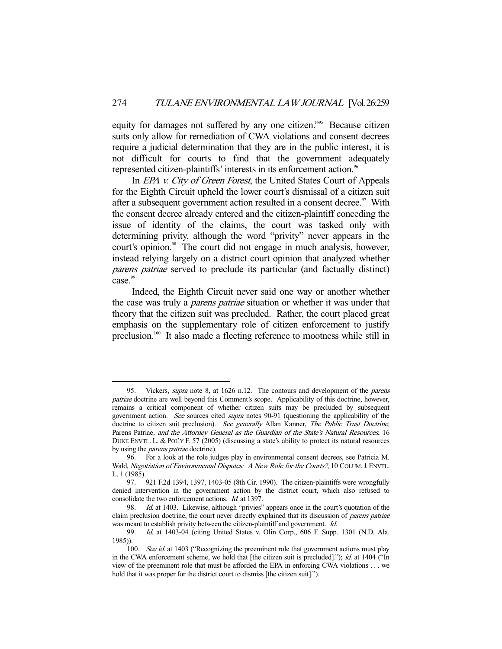equity for damages not suffered by any one citizen."95 Because citizen suits only allow for remediation of CWA violations and consent decrees require a judicial determination that they are in the public interest, it is not difficult for courts to find that the government adequately represented citizen-plaintiffs' interests in its enforcement action.<sup>96</sup>

In *EPA v. City of Green Forest*, the United States Court of Appeals for the Eighth Circuit upheld the lower court's dismissal of a citizen suit after a subsequent government action resulted in a consent decree.<sup>97</sup> With the consent decree already entered and the citizen-plaintiff conceding the issue of identity of the claims, the court was tasked only with determining privity, although the word "privity" never appears in the court's opinion.<sup>98</sup> The court did not engage in much analysis, however, instead relying largely on a district court opinion that analyzed whether parens patriae served to preclude its particular (and factually distinct) case.<sup>99</sup>

 Indeed, the Eighth Circuit never said one way or another whether the case was truly a *parens patriae* situation or whether it was under that theory that the citizen suit was precluded. Rather, the court placed great emphasis on the supplementary role of citizen enforcement to justify preclusion.100 It also made a fleeting reference to mootness while still in

 <sup>95.</sup> Vickers, supra note 8, at 1626 n.12. The contours and development of the parens patriae doctrine are well beyond this Comment's scope. Applicability of this doctrine, however, remains a critical component of whether citizen suits may be precluded by subsequent government action. See sources cited supra notes 90-91 (questioning the applicability of the doctrine to citizen suit preclusion). See generally Allan Kanner, The Public Trust Doctrine, Parens Patriae, and the Attorney General as the Guardian of the State's Natural Resources, 16 DUKE ENVTL. L. & POL'Y F. 57 (2005) (discussing a state's ability to protect its natural resources by using the *parens patriae* doctrine).

 <sup>96.</sup> For a look at the role judges play in environmental consent decrees, see Patricia M. Wald, Negotiation of Environmental Disputes: A New Role for the Courts?, 10 COLUM. J. ENVTL. L. 1 (1985).

 <sup>97. 921</sup> F.2d 1394, 1397, 1403-05 (8th Cir. 1990). The citizen-plaintiffs were wrongfully denied intervention in the government action by the district court, which also refused to consolidate the two enforcement actions. Id. at 1397.

<sup>98.</sup> *Id.* at 1403. Likewise, although "privies" appears once in the court's quotation of the claim preclusion doctrine, the court never directly explained that its discussion of *parens patriae* was meant to establish privity between the citizen-plaintiff and government. Id.

 <sup>99.</sup> Id. at 1403-04 (citing United States v. Olin Corp., 606 F. Supp. 1301 (N.D. Ala. 1985)).

<sup>100.</sup> See id. at 1403 ("Recognizing the preeminent role that government actions must play in the CWA enforcement scheme, we hold that [the citizen suit is precluded]."); *id.* at 1404 ("In view of the preeminent role that must be afforded the EPA in enforcing CWA violations . . . we hold that it was proper for the district court to dismiss [the citizen suit].").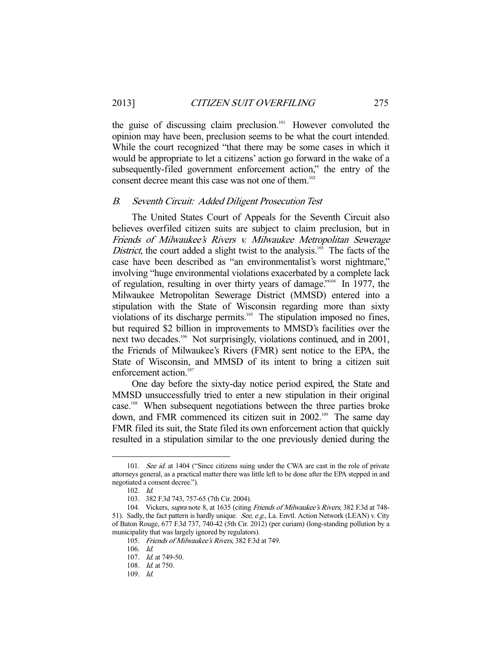the guise of discussing claim preclusion.<sup>101</sup> However convoluted the opinion may have been, preclusion seems to be what the court intended. While the court recognized "that there may be some cases in which it would be appropriate to let a citizens' action go forward in the wake of a subsequently-filed government enforcement action," the entry of the consent decree meant this case was not one of them.<sup>102</sup>

#### B. Seventh Circuit: Added Diligent Prosecution Test

 The United States Court of Appeals for the Seventh Circuit also believes overfiled citizen suits are subject to claim preclusion, but in Friends of Milwaukee's Rivers v. Milwaukee Metropolitan Sewerage District, the court added a slight twist to the analysis.<sup>103</sup> The facts of the case have been described as "an environmentalist's worst nightmare," involving "huge environmental violations exacerbated by a complete lack of regulation, resulting in over thirty years of damage."104 In 1977, the Milwaukee Metropolitan Sewerage District (MMSD) entered into a stipulation with the State of Wisconsin regarding more than sixty violations of its discharge permits.<sup>105</sup> The stipulation imposed no fines, but required \$2 billion in improvements to MMSD's facilities over the next two decades.<sup>106</sup> Not surprisingly, violations continued, and in 2001, the Friends of Milwaukee's Rivers (FMR) sent notice to the EPA, the State of Wisconsin, and MMSD of its intent to bring a citizen suit enforcement action.<sup>107</sup>

 One day before the sixty-day notice period expired, the State and MMSD unsuccessfully tried to enter a new stipulation in their original case.<sup>108</sup> When subsequent negotiations between the three parties broke down, and FMR commenced its citizen suit in 2002.<sup>109</sup> The same day FMR filed its suit, the State filed its own enforcement action that quickly resulted in a stipulation similar to the one previously denied during the

<sup>101.</sup> See id. at 1404 ("Since citizens suing under the CWA are cast in the role of private attorneys general, as a practical matter there was little left to be done after the EPA stepped in and negotiated a consent decree.").

 <sup>102.</sup> Id.

 <sup>103. 382</sup> F.3d 743, 757-65 (7th Cir. 2004).

<sup>104.</sup> Vickers, supra note 8, at 1635 (citing Friends of Milwaukee's Rivers, 382 F.3d at 748-51). Sadly, the fact pattern is hardly unique. See, e.g., La. Envtl. Action Network (LEAN) v. City of Baton Rouge, 677 F.3d 737, 740-42 (5th Cir. 2012) (per curiam) (long-standing pollution by a municipality that was largely ignored by regulators).

 <sup>105.</sup> Friends of Milwaukee's Rivers, 382 F.3d at 749.

 <sup>106.</sup> Id.

 <sup>107.</sup> Id. at 749-50.

<sup>108.</sup> *Id.* at 750.

 <sup>109.</sup> Id.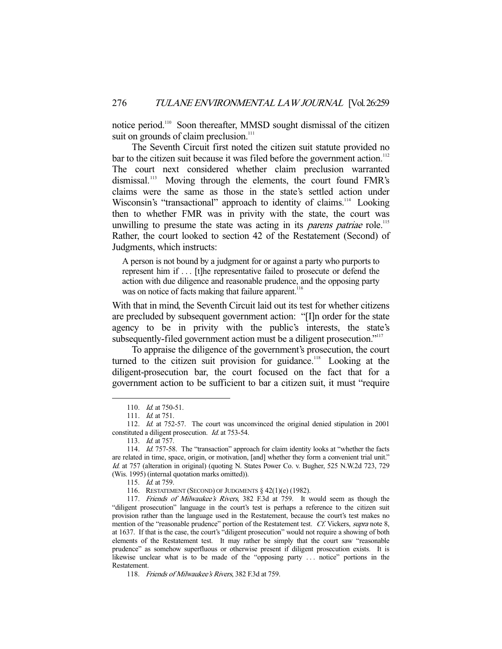notice period.110 Soon thereafter, MMSD sought dismissal of the citizen suit on grounds of claim preclusion.<sup>111</sup>

 The Seventh Circuit first noted the citizen suit statute provided no bar to the citizen suit because it was filed before the government action.<sup>112</sup> The court next considered whether claim preclusion warranted dismissal.<sup>113</sup> Moving through the elements, the court found FMR's claims were the same as those in the state's settled action under Wisconsin's "transactional" approach to identity of claims.<sup>114</sup> Looking then to whether FMR was in privity with the state, the court was unwilling to presume the state was acting in its *parens patriae* role.<sup>115</sup> Rather, the court looked to section 42 of the Restatement (Second) of Judgments, which instructs:

A person is not bound by a judgment for or against a party who purports to represent him if . . . [t]he representative failed to prosecute or defend the action with due diligence and reasonable prudence, and the opposing party was on notice of facts making that failure apparent.<sup>116</sup>

With that in mind, the Seventh Circuit laid out its test for whether citizens are precluded by subsequent government action: "[I]n order for the state agency to be in privity with the public's interests, the state's subsequently-filed government action must be a diligent prosecution."<sup>117</sup>

 To appraise the diligence of the government's prosecution, the court turned to the citizen suit provision for guidance.<sup>118</sup> Looking at the diligent-prosecution bar, the court focused on the fact that for a government action to be sufficient to bar a citizen suit, it must "require

<sup>110.</sup> *Id.* at 750-51.

 <sup>111.</sup> Id. at 751.

 <sup>112.</sup> Id. at 752-57. The court was unconvinced the original denied stipulation in 2001 constituted a diligent prosecution. Id. at 753-54.

 <sup>113.</sup> Id. at 757.

<sup>114.</sup> Id. 757-58. The "transaction" approach for claim identity looks at "whether the facts are related in time, space, origin, or motivation, [and] whether they form a convenient trial unit." Id. at 757 (alteration in original) (quoting N. States Power Co. v. Bugher, 525 N.W.2d 723, 729 (Wis. 1995) (internal quotation marks omitted)).

 <sup>115.</sup> Id. at 759.

 <sup>116.</sup> RESTATEMENT (SECOND) OF JUDGMENTS § 42(1)(e) (1982).

<sup>117.</sup> Friends of Milwaukee's Rivers, 382 F.3d at 759. It would seem as though the "diligent prosecution" language in the court's test is perhaps a reference to the citizen suit provision rather than the language used in the Restatement, because the court's test makes no mention of the "reasonable prudence" portion of the Restatement test. Cf. Vickers, supra note 8, at 1637. If that is the case, the court's "diligent prosecution" would not require a showing of both elements of the Restatement test. It may rather be simply that the court saw "reasonable prudence" as somehow superfluous or otherwise present if diligent prosecution exists. It is likewise unclear what is to be made of the "opposing party . . . notice" portions in the Restatement.

<sup>118.</sup> Friends of Milwaukee's Rivers, 382 F.3d at 759.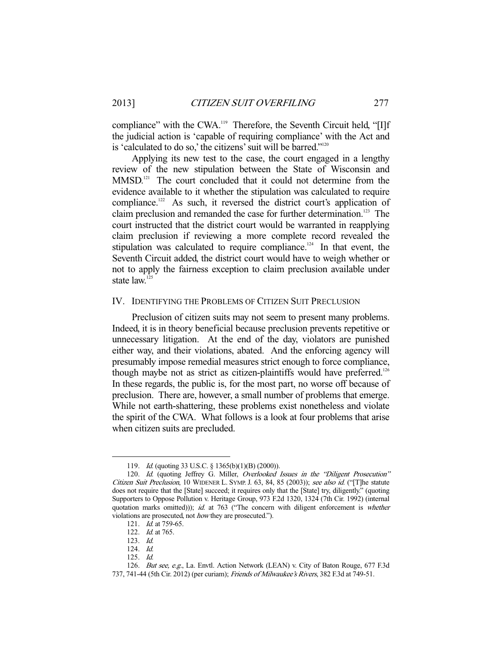compliance" with the CWA.<sup>119</sup> Therefore, the Seventh Circuit held, "[I]f the judicial action is 'capable of requiring compliance' with the Act and is 'calculated to do so,' the citizens' suit will be barred."<sup>120</sup>

 Applying its new test to the case, the court engaged in a lengthy review of the new stipulation between the State of Wisconsin and MMSD.<sup>121</sup> The court concluded that it could not determine from the evidence available to it whether the stipulation was calculated to require compliance.<sup>122</sup> As such, it reversed the district court's application of claim preclusion and remanded the case for further determination.<sup>123</sup> The court instructed that the district court would be warranted in reapplying claim preclusion if reviewing a more complete record revealed the stipulation was calculated to require compliance.<sup>124</sup> In that event, the Seventh Circuit added, the district court would have to weigh whether or not to apply the fairness exception to claim preclusion available under state law.<sup>125</sup>

#### IV. IDENTIFYING THE PROBLEMS OF CITIZEN SUIT PRECLUSION

 Preclusion of citizen suits may not seem to present many problems. Indeed, it is in theory beneficial because preclusion prevents repetitive or unnecessary litigation. At the end of the day, violators are punished either way, and their violations, abated. And the enforcing agency will presumably impose remedial measures strict enough to force compliance, though maybe not as strict as citizen-plaintiffs would have preferred.<sup>126</sup> In these regards, the public is, for the most part, no worse off because of preclusion. There are, however, a small number of problems that emerge. While not earth-shattering, these problems exist nonetheless and violate the spirit of the CWA. What follows is a look at four problems that arise when citizen suits are precluded.

 <sup>119.</sup> Id. (quoting 33 U.S.C. § 1365(b)(1)(B) (2000)).

<sup>120.</sup> Id. (quoting Jeffrey G. Miller, Overlooked Issues in the "Diligent Prosecution" Citizen Suit Preclusion, 10 WIDENER L. SYMP. J. 63, 84, 85 (2003)); see also id. ("[T]he statute does not require that the [State] succeed; it requires only that the [State] try, diligently." (quoting Supporters to Oppose Pollution v. Heritage Group, 973 F.2d 1320, 1324 (7th Cir. 1992) (internal quotation marks omitted))); id. at 763 ("The concern with diligent enforcement is whether violations are prosecuted, not how they are prosecuted.").

 <sup>121.</sup> Id. at 759-65.

 <sup>122.</sup> Id. at 765.

 <sup>123.</sup> Id.

 <sup>124.</sup> Id.

 <sup>125.</sup> Id.

 <sup>126.</sup> But see, e.g., La. Envtl. Action Network (LEAN) v. City of Baton Rouge, 677 F.3d 737, 741-44 (5th Cir. 2012) (per curiam); Friends of Milwaukee's Rivers, 382 F.3d at 749-51.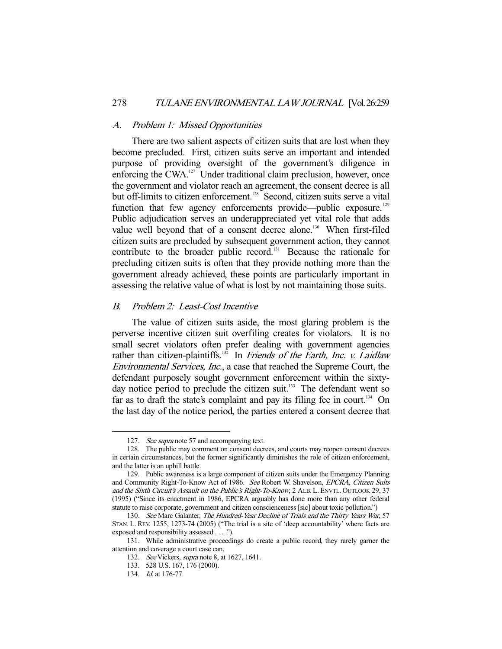#### A. Problem 1: Missed Opportunities

 There are two salient aspects of citizen suits that are lost when they become precluded. First, citizen suits serve an important and intended purpose of providing oversight of the government's diligence in enforcing the CWA.<sup>127</sup> Under traditional claim preclusion, however, once the government and violator reach an agreement, the consent decree is all but off-limits to citizen enforcement.<sup>128</sup> Second, citizen suits serve a vital function that few agency enforcements provide—public exposure.<sup>129</sup> Public adjudication serves an underappreciated yet vital role that adds value well beyond that of a consent decree alone.<sup>130</sup> When first-filed citizen suits are precluded by subsequent government action, they cannot contribute to the broader public record.<sup>131</sup> Because the rationale for precluding citizen suits is often that they provide nothing more than the government already achieved, these points are particularly important in assessing the relative value of what is lost by not maintaining those suits.

# B. Problem 2: Least-Cost Incentive

 The value of citizen suits aside, the most glaring problem is the perverse incentive citizen suit overfiling creates for violators. It is no small secret violators often prefer dealing with government agencies rather than citizen-plaintiffs.<sup>132</sup> In Friends of the Earth, Inc. v. Laidlaw Environmental Services, Inc., a case that reached the Supreme Court, the defendant purposely sought government enforcement within the sixtyday notice period to preclude the citizen suit.<sup>133</sup> The defendant went so far as to draft the state's complaint and pay its filing fee in court.<sup>134</sup> On the last day of the notice period, the parties entered a consent decree that

<sup>127.</sup> See supra note 57 and accompanying text.

 <sup>128.</sup> The public may comment on consent decrees, and courts may reopen consent decrees in certain circumstances, but the former significantly diminishes the role of citizen enforcement, and the latter is an uphill battle.

 <sup>129.</sup> Public awareness is a large component of citizen suits under the Emergency Planning and Community Right-To-Know Act of 1986. See Robert W. Shavelson, EPCRA, Citizen Suits and the Sixth Circuit's Assault on the Public's Right-To-Know, 2 ALB. L. ENVTL. OUTLOOK 29, 37 (1995) ("Since its enactment in 1986, EPCRA arguably has done more than any other federal statute to raise corporate, government and citizen conscienceness [sic] about toxic pollution.")

<sup>130.</sup> See Marc Galanter, The Hundred-Year Decline of Trials and the Thirty Years War, 57 STAN. L. REV. 1255, 1273-74 (2005) ("The trial is a site of 'deep accountability' where facts are exposed and responsibility assessed . . . .").

 <sup>131.</sup> While administrative proceedings do create a public record, they rarely garner the attention and coverage a court case can.

 <sup>132.</sup> See Vickers, supra note 8, at 1627, 1641.

 <sup>133. 528</sup> U.S. 167, 176 (2000).

 <sup>134.</sup> Id. at 176-77.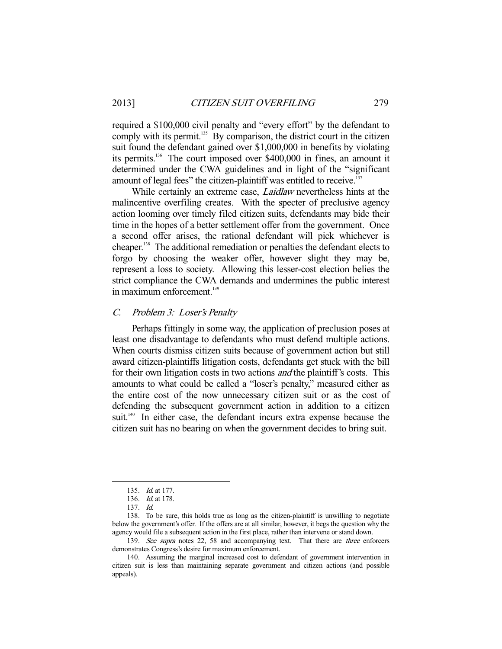required a \$100,000 civil penalty and "every effort" by the defendant to comply with its permit.<sup>135</sup> By comparison, the district court in the citizen suit found the defendant gained over \$1,000,000 in benefits by violating its permits.136 The court imposed over \$400,000 in fines, an amount it determined under the CWA guidelines and in light of the "significant amount of legal fees" the citizen-plaintiff was entitled to receive.<sup>137</sup>

While certainly an extreme case, *Laidlaw* nevertheless hints at the malincentive overfiling creates. With the specter of preclusive agency action looming over timely filed citizen suits, defendants may bide their time in the hopes of a better settlement offer from the government. Once a second offer arises, the rational defendant will pick whichever is cheaper.138 The additional remediation or penalties the defendant elects to forgo by choosing the weaker offer, however slight they may be, represent a loss to society. Allowing this lesser-cost election belies the strict compliance the CWA demands and undermines the public interest in maximum enforcement. $139$ 

#### C. Problem 3: Loser's Penalty

 Perhaps fittingly in some way, the application of preclusion poses at least one disadvantage to defendants who must defend multiple actions. When courts dismiss citizen suits because of government action but still award citizen-plaintiffs litigation costs, defendants get stuck with the bill for their own litigation costs in two actions *and* the plaintiff's costs. This amounts to what could be called a "loser's penalty," measured either as the entire cost of the now unnecessary citizen suit or as the cost of defending the subsequent government action in addition to a citizen suit.<sup>140</sup> In either case, the defendant incurs extra expense because the citizen suit has no bearing on when the government decides to bring suit.

 <sup>135.</sup> Id. at 177.

 <sup>136.</sup> Id. at 178.

 <sup>137.</sup> Id.

 <sup>138.</sup> To be sure, this holds true as long as the citizen-plaintiff is unwilling to negotiate below the government's offer. If the offers are at all similar, however, it begs the question why the agency would file a subsequent action in the first place, rather than intervene or stand down.

<sup>139.</sup> See supra notes 22, 58 and accompanying text. That there are three enforcers demonstrates Congress's desire for maximum enforcement.

 <sup>140.</sup> Assuming the marginal increased cost to defendant of government intervention in citizen suit is less than maintaining separate government and citizen actions (and possible appeals).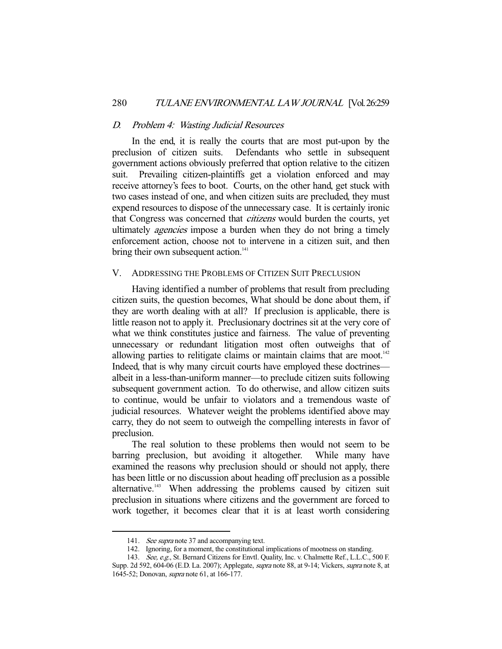# D. Problem 4: Wasting Judicial Resources

 In the end, it is really the courts that are most put-upon by the preclusion of citizen suits. Defendants who settle in subsequent government actions obviously preferred that option relative to the citizen suit. Prevailing citizen-plaintiffs get a violation enforced and may receive attorney's fees to boot. Courts, on the other hand, get stuck with two cases instead of one, and when citizen suits are precluded, they must expend resources to dispose of the unnecessary case. It is certainly ironic that Congress was concerned that citizens would burden the courts, yet ultimately *agencies* impose a burden when they do not bring a timely enforcement action, choose not to intervene in a citizen suit, and then bring their own subsequent action.<sup>141</sup>

#### V. ADDRESSING THE PROBLEMS OF CITIZEN SUIT PRECLUSION

 Having identified a number of problems that result from precluding citizen suits, the question becomes, What should be done about them, if they are worth dealing with at all? If preclusion is applicable, there is little reason not to apply it. Preclusionary doctrines sit at the very core of what we think constitutes justice and fairness. The value of preventing unnecessary or redundant litigation most often outweighs that of allowing parties to relitigate claims or maintain claims that are moot. $142$ Indeed, that is why many circuit courts have employed these doctrines albeit in a less-than-uniform manner—to preclude citizen suits following subsequent government action. To do otherwise, and allow citizen suits to continue, would be unfair to violators and a tremendous waste of judicial resources. Whatever weight the problems identified above may carry, they do not seem to outweigh the compelling interests in favor of preclusion.

 The real solution to these problems then would not seem to be barring preclusion, but avoiding it altogether. While many have examined the reasons why preclusion should or should not apply, there has been little or no discussion about heading off preclusion as a possible alternative.<sup>143</sup> When addressing the problems caused by citizen suit preclusion in situations where citizens and the government are forced to work together, it becomes clear that it is at least worth considering

<sup>141.</sup> See supra note 37 and accompanying text.

 <sup>142.</sup> Ignoring, for a moment, the constitutional implications of mootness on standing.

<sup>143.</sup> See, e.g., St. Bernard Citizens for Envtl. Quality, Inc. v. Chalmette Ref., L.L.C., 500 F. Supp. 2d 592, 604-06 (E.D. La. 2007); Applegate, supra note 88, at 9-14; Vickers, supra note 8, at 1645-52; Donovan, supra note 61, at 166-177.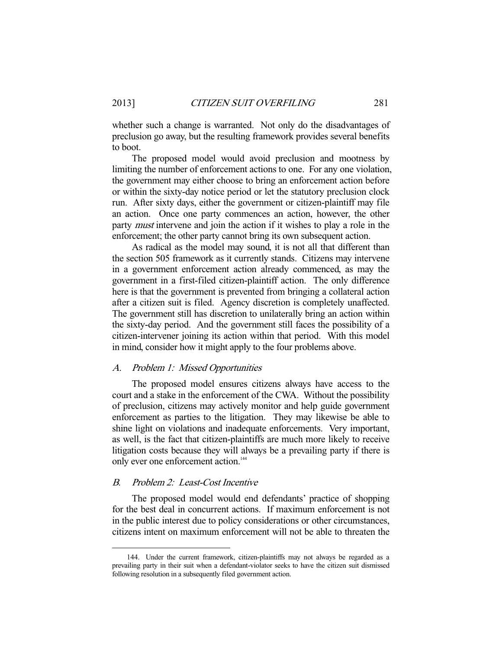whether such a change is warranted. Not only do the disadvantages of preclusion go away, but the resulting framework provides several benefits to boot.

 The proposed model would avoid preclusion and mootness by limiting the number of enforcement actions to one. For any one violation, the government may either choose to bring an enforcement action before or within the sixty-day notice period or let the statutory preclusion clock run. After sixty days, either the government or citizen-plaintiff may file an action. Once one party commences an action, however, the other party *must* intervene and join the action if it wishes to play a role in the enforcement; the other party cannot bring its own subsequent action.

 As radical as the model may sound, it is not all that different than the section 505 framework as it currently stands. Citizens may intervene in a government enforcement action already commenced, as may the government in a first-filed citizen-plaintiff action. The only difference here is that the government is prevented from bringing a collateral action after a citizen suit is filed. Agency discretion is completely unaffected. The government still has discretion to unilaterally bring an action within the sixty-day period. And the government still faces the possibility of a citizen-intervener joining its action within that period. With this model in mind, consider how it might apply to the four problems above.

#### A. Problem 1: Missed Opportunities

 The proposed model ensures citizens always have access to the court and a stake in the enforcement of the CWA. Without the possibility of preclusion, citizens may actively monitor and help guide government enforcement as parties to the litigation. They may likewise be able to shine light on violations and inadequate enforcements. Very important, as well, is the fact that citizen-plaintiffs are much more likely to receive litigation costs because they will always be a prevailing party if there is only ever one enforcement action.<sup>144</sup>

#### B. Problem 2: Least-Cost Incentive

-

 The proposed model would end defendants' practice of shopping for the best deal in concurrent actions. If maximum enforcement is not in the public interest due to policy considerations or other circumstances, citizens intent on maximum enforcement will not be able to threaten the

 <sup>144.</sup> Under the current framework, citizen-plaintiffs may not always be regarded as a prevailing party in their suit when a defendant-violator seeks to have the citizen suit dismissed following resolution in a subsequently filed government action.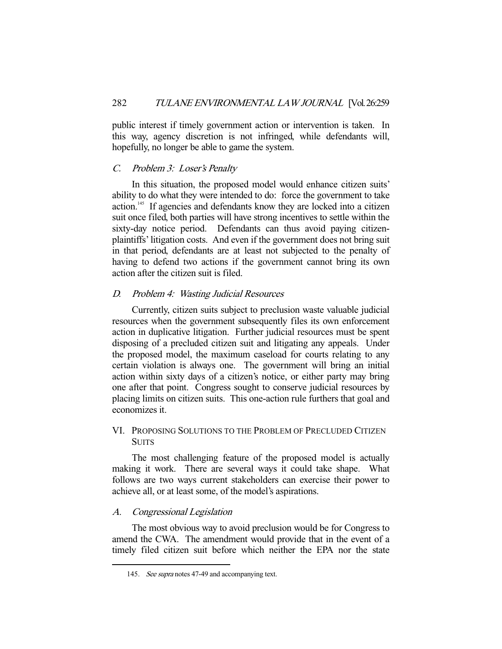public interest if timely government action or intervention is taken. In this way, agency discretion is not infringed, while defendants will, hopefully, no longer be able to game the system.

### C. Problem 3: Loser's Penalty

 In this situation, the proposed model would enhance citizen suits' ability to do what they were intended to do: force the government to take action.<sup>145</sup> If agencies and defendants know they are locked into a citizen suit once filed, both parties will have strong incentives to settle within the sixty-day notice period. Defendants can thus avoid paying citizenplaintiffs' litigation costs. And even if the government does not bring suit in that period, defendants are at least not subjected to the penalty of having to defend two actions if the government cannot bring its own action after the citizen suit is filed.

# D. Problem 4: Wasting Judicial Resources

 Currently, citizen suits subject to preclusion waste valuable judicial resources when the government subsequently files its own enforcement action in duplicative litigation. Further judicial resources must be spent disposing of a precluded citizen suit and litigating any appeals. Under the proposed model, the maximum caseload for courts relating to any certain violation is always one. The government will bring an initial action within sixty days of a citizen's notice, or either party may bring one after that point. Congress sought to conserve judicial resources by placing limits on citizen suits. This one-action rule furthers that goal and economizes it.

# VI. PROPOSING SOLUTIONS TO THE PROBLEM OF PRECLUDED CITIZEN **SUITS**

 The most challenging feature of the proposed model is actually making it work. There are several ways it could take shape. What follows are two ways current stakeholders can exercise their power to achieve all, or at least some, of the model's aspirations.

#### A. Congressional Legislation

-

 The most obvious way to avoid preclusion would be for Congress to amend the CWA. The amendment would provide that in the event of a timely filed citizen suit before which neither the EPA nor the state

<sup>145.</sup> See supra notes 47-49 and accompanying text.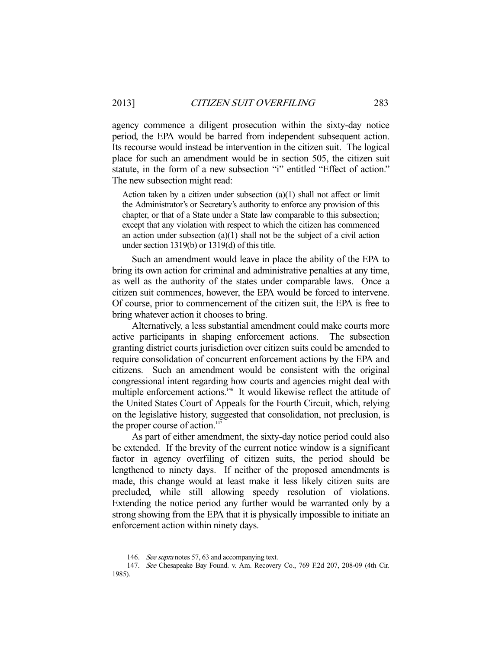agency commence a diligent prosecution within the sixty-day notice period, the EPA would be barred from independent subsequent action. Its recourse would instead be intervention in the citizen suit. The logical place for such an amendment would be in section 505, the citizen suit statute, in the form of a new subsection "i" entitled "Effect of action." The new subsection might read:

Action taken by a citizen under subsection  $(a)(1)$  shall not affect or limit the Administrator's or Secretary's authority to enforce any provision of this chapter, or that of a State under a State law comparable to this subsection; except that any violation with respect to which the citizen has commenced an action under subsection (a)(1) shall not be the subject of a civil action under section 1319(b) or 1319(d) of this title.

 Such an amendment would leave in place the ability of the EPA to bring its own action for criminal and administrative penalties at any time, as well as the authority of the states under comparable laws. Once a citizen suit commences, however, the EPA would be forced to intervene. Of course, prior to commencement of the citizen suit, the EPA is free to bring whatever action it chooses to bring.

 Alternatively, a less substantial amendment could make courts more active participants in shaping enforcement actions. The subsection granting district courts jurisdiction over citizen suits could be amended to require consolidation of concurrent enforcement actions by the EPA and citizens. Such an amendment would be consistent with the original congressional intent regarding how courts and agencies might deal with multiple enforcement actions.<sup>146</sup> It would likewise reflect the attitude of the United States Court of Appeals for the Fourth Circuit, which, relying on the legislative history, suggested that consolidation, not preclusion, is the proper course of action.<sup>147</sup>

 As part of either amendment, the sixty-day notice period could also be extended. If the brevity of the current notice window is a significant factor in agency overfiling of citizen suits, the period should be lengthened to ninety days. If neither of the proposed amendments is made, this change would at least make it less likely citizen suits are precluded, while still allowing speedy resolution of violations. Extending the notice period any further would be warranted only by a strong showing from the EPA that it is physically impossible to initiate an enforcement action within ninety days.

<sup>146.</sup> See supra notes 57, 63 and accompanying text.

 <sup>147.</sup> See Chesapeake Bay Found. v. Am. Recovery Co., 769 F.2d 207, 208-09 (4th Cir. 1985).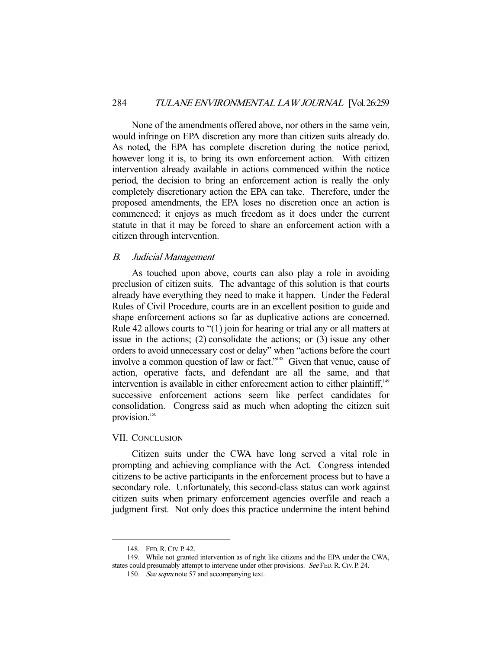None of the amendments offered above, nor others in the same vein, would infringe on EPA discretion any more than citizen suits already do. As noted, the EPA has complete discretion during the notice period, however long it is, to bring its own enforcement action. With citizen intervention already available in actions commenced within the notice period, the decision to bring an enforcement action is really the only completely discretionary action the EPA can take. Therefore, under the proposed amendments, the EPA loses no discretion once an action is commenced; it enjoys as much freedom as it does under the current statute in that it may be forced to share an enforcement action with a citizen through intervention.

#### B. Judicial Management

 As touched upon above, courts can also play a role in avoiding preclusion of citizen suits. The advantage of this solution is that courts already have everything they need to make it happen. Under the Federal Rules of Civil Procedure, courts are in an excellent position to guide and shape enforcement actions so far as duplicative actions are concerned. Rule 42 allows courts to "(1) join for hearing or trial any or all matters at issue in the actions; (2) consolidate the actions; or (3) issue any other orders to avoid unnecessary cost or delay" when "actions before the court involve a common question of law or fact."148 Given that venue, cause of action, operative facts, and defendant are all the same, and that intervention is available in either enforcement action to either plaintiff, $149$ successive enforcement actions seem like perfect candidates for consolidation. Congress said as much when adopting the citizen suit provision.<sup>150</sup>

#### VII. CONCLUSION

 Citizen suits under the CWA have long served a vital role in prompting and achieving compliance with the Act. Congress intended citizens to be active participants in the enforcement process but to have a secondary role. Unfortunately, this second-class status can work against citizen suits when primary enforcement agencies overfile and reach a judgment first. Not only does this practice undermine the intent behind

 <sup>148.</sup> FED.R.CIV. P. 42.

 <sup>149.</sup> While not granted intervention as of right like citizens and the EPA under the CWA, states could presumably attempt to intervene under other provisions. See FED. R. CIV. P. 24.

<sup>150.</sup> See supra note 57 and accompanying text.